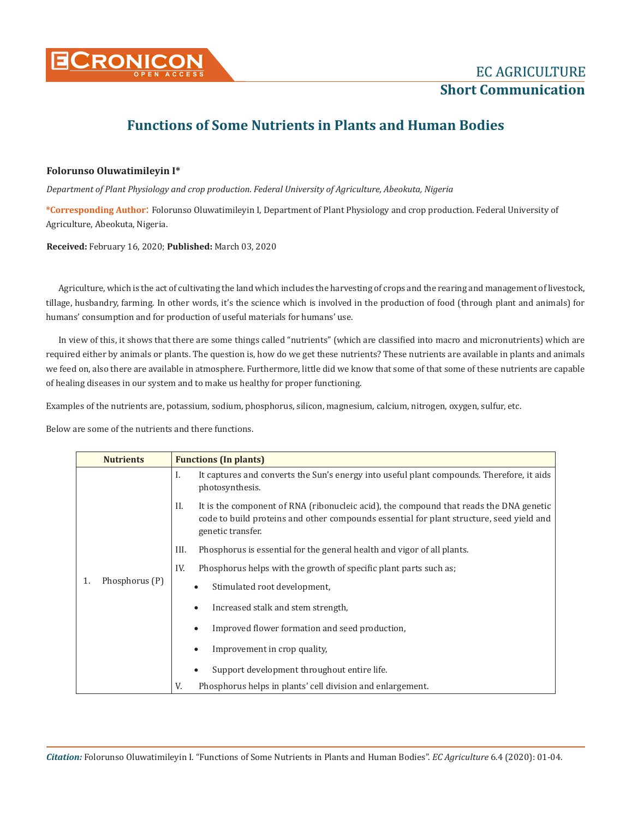

## **Functions of Some Nutrients in Plants and Human Bodies**

## **Folorunso Oluwatimileyin I\***

*Department of Plant Physiology and crop production. Federal University of Agriculture, Abeokuta, Nigeria*

**\*Corresponding Author**: Folorunso Oluwatimileyin I, Department of Plant Physiology and crop production. Federal University of Agriculture, Abeokuta, Nigeria.

**Received:** February 16, 2020; **Published:** March 03, 2020

Agriculture, which is the act of cultivating the land which includes the harvesting of crops and the rearing and management of livestock, tillage, husbandry, farming. In other words, it's the science which is involved in the production of food (through plant and animals) for humans' consumption and for production of useful materials for humans' use.

In view of this, it shows that there are some things called "nutrients" (which are classified into macro and micronutrients) which are required either by animals or plants. The question is, how do we get these nutrients? These nutrients are available in plants and animals we feed on, also there are available in atmosphere. Furthermore, little did we know that some of that some of these nutrients are capable of healing diseases in our system and to make us healthy for proper functioning.

Examples of the nutrients are, potassium, sodium, phosphorus, silicon, magnesium, calcium, nitrogen, oxygen, sulfur, etc.

Below are some of the nutrients and there functions.

| <b>Nutrients</b> |                | <b>Functions (In plants)</b>                                                                                                                                                                                  |  |  |
|------------------|----------------|---------------------------------------------------------------------------------------------------------------------------------------------------------------------------------------------------------------|--|--|
| 1.               | Phosphorus (P) | It captures and converts the Sun's energy into useful plant compounds. Therefore, it aids<br>L<br>photosynthesis.                                                                                             |  |  |
|                  |                | It is the component of RNA (ribonucleic acid), the compound that reads the DNA genetic<br>H.<br>code to build proteins and other compounds essential for plant structure, seed yield and<br>genetic transfer. |  |  |
|                  |                | III.<br>Phosphorus is essential for the general health and vigor of all plants.                                                                                                                               |  |  |
|                  |                | IV.<br>Phosphorus helps with the growth of specific plant parts such as;                                                                                                                                      |  |  |
|                  |                | Stimulated root development,                                                                                                                                                                                  |  |  |
|                  |                | Increased stalk and stem strength,<br>$\bullet$                                                                                                                                                               |  |  |
|                  |                | Improved flower formation and seed production,<br>$\bullet$                                                                                                                                                   |  |  |
|                  |                | Improvement in crop quality,                                                                                                                                                                                  |  |  |
|                  |                | Support development throughout entire life.                                                                                                                                                                   |  |  |
|                  |                | Phosphorus helps in plants' cell division and enlargement.<br>V.                                                                                                                                              |  |  |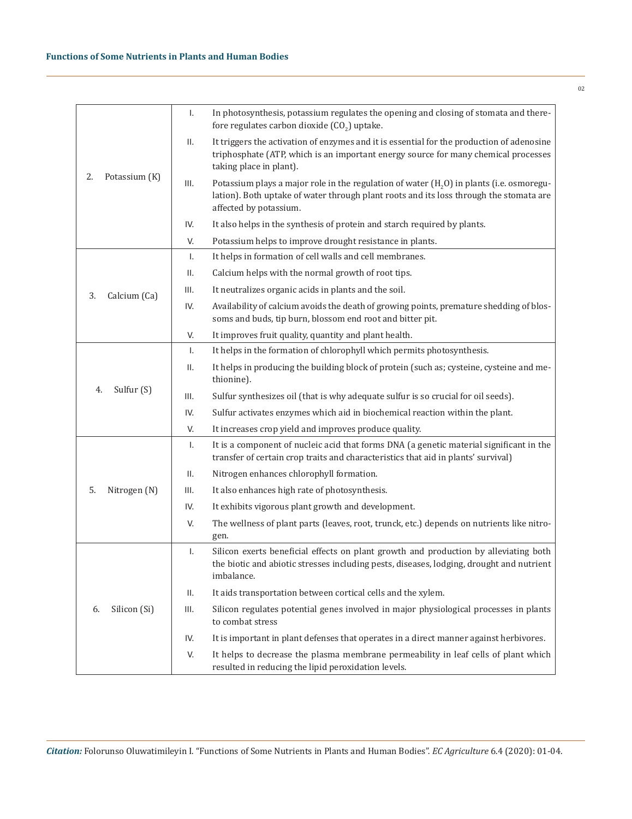|                     | Ι.   | In photosynthesis, potassium regulates the opening and closing of stomata and there-<br>fore regulates carbon dioxide (CO <sub>2</sub> ) uptake.                                                               |
|---------------------|------|----------------------------------------------------------------------------------------------------------------------------------------------------------------------------------------------------------------|
|                     | ΙΙ.  | It triggers the activation of enzymes and it is essential for the production of adenosine<br>triphosphate (ATP, which is an important energy source for many chemical processes<br>taking place in plant).     |
| 2.<br>Potassium (K) | III. | Potassium plays a major role in the regulation of water $(H, 0)$ in plants (i.e. osmoregu-<br>lation). Both uptake of water through plant roots and its loss through the stomata are<br>affected by potassium. |
|                     | IV.  | It also helps in the synthesis of protein and starch required by plants.                                                                                                                                       |
|                     | V.   | Potassium helps to improve drought resistance in plants.                                                                                                                                                       |
|                     | Ι.   | It helps in formation of cell walls and cell membranes.                                                                                                                                                        |
|                     | ΙΙ.  | Calcium helps with the normal growth of root tips.                                                                                                                                                             |
| Calcium (Ca)<br>3.  | III. | It neutralizes organic acids in plants and the soil.                                                                                                                                                           |
|                     | IV.  | Availability of calcium avoids the death of growing points, premature shedding of blos-<br>soms and buds, tip burn, blossom end root and bitter pit.                                                           |
|                     | V.   | It improves fruit quality, quantity and plant health.                                                                                                                                                          |
|                     | Ι.   | It helps in the formation of chlorophyll which permits photosynthesis.                                                                                                                                         |
|                     | Ш.   | It helps in producing the building block of protein (such as; cysteine, cysteine and me-<br>thionine).                                                                                                         |
| Sulfur (S)<br>4.    | III. | Sulfur synthesizes oil (that is why adequate sulfur is so crucial for oil seeds).                                                                                                                              |
|                     | IV.  | Sulfur activates enzymes which aid in biochemical reaction within the plant.                                                                                                                                   |
|                     | V.   | It increases crop yield and improves produce quality.                                                                                                                                                          |
|                     | Ι.   | It is a component of nucleic acid that forms DNA (a genetic material significant in the<br>transfer of certain crop traits and characteristics that aid in plants' survival)                                   |
|                     | Ш.   | Nitrogen enhances chlorophyll formation.                                                                                                                                                                       |
| 5.<br>Nitrogen (N)  | Ш.   | It also enhances high rate of photosynthesis.                                                                                                                                                                  |
|                     | IV.  | It exhibits vigorous plant growth and development.                                                                                                                                                             |
|                     | V.   | The wellness of plant parts (leaves, root, trunck, etc.) depends on nutrients like nitro-<br>gen.                                                                                                              |
|                     | Ι.   | Silicon exerts beneficial effects on plant growth and production by alleviating both<br>the biotic and abiotic stresses including pests, diseases, lodging, drought and nutrient<br>imbalance.                 |
|                     | ΙΙ.  | It aids transportation between cortical cells and the xylem.                                                                                                                                                   |
| Silicon (Si)<br>6.  | III. | Silicon regulates potential genes involved in major physiological processes in plants<br>to combat stress                                                                                                      |
|                     | IV.  | It is important in plant defenses that operates in a direct manner against herbivores.                                                                                                                         |
|                     | V.   | It helps to decrease the plasma membrane permeability in leaf cells of plant which<br>resulted in reducing the lipid peroxidation levels.                                                                      |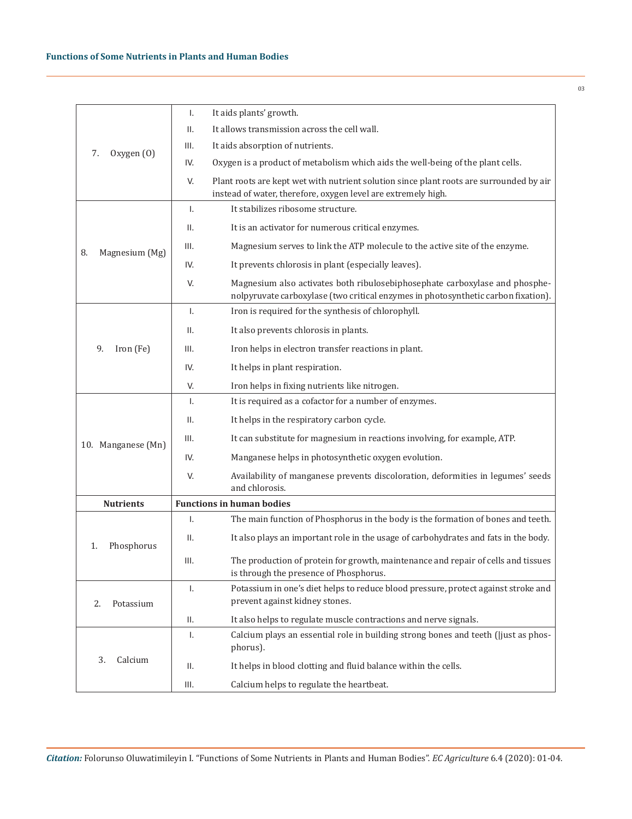|                      | Ι.           | It aids plants' growth.                                                                                                                                          |
|----------------------|--------------|------------------------------------------------------------------------------------------------------------------------------------------------------------------|
|                      | Ш.           | It allows transmission across the cell wall.                                                                                                                     |
| Oxygen (0)<br>7.     | III.         | It aids absorption of nutrients.                                                                                                                                 |
|                      | IV.          | Oxygen is a product of metabolism which aids the well-being of the plant cells.                                                                                  |
|                      | V.           | Plant roots are kept wet with nutrient solution since plant roots are surrounded by air<br>instead of water, therefore, oxygen level are extremely high.         |
|                      | $\mathsf{L}$ | It stabilizes ribosome structure.                                                                                                                                |
|                      | ΙΙ.          | It is an activator for numerous critical enzymes.                                                                                                                |
| Magnesium (Mg)<br>8. | III.         | Magnesium serves to link the ATP molecule to the active site of the enzyme.                                                                                      |
|                      | IV.          | It prevents chlorosis in plant (especially leaves).                                                                                                              |
|                      | V.           | Magnesium also activates both ribulosebiphosephate carboxylase and phosphe-<br>nolpyruvate carboxylase (two critical enzymes in photosynthetic carbon fixation). |
|                      | Τ.           | Iron is required for the synthesis of chlorophyll.                                                                                                               |
|                      | II.          | It also prevents chlorosis in plants.                                                                                                                            |
| 9.<br>Iron (Fe)      | III.         | Iron helps in electron transfer reactions in plant.                                                                                                              |
|                      | IV.          | It helps in plant respiration.                                                                                                                                   |
|                      | V.           | Iron helps in fixing nutrients like nitrogen.                                                                                                                    |
|                      | Τ.           | It is required as a cofactor for a number of enzymes.                                                                                                            |
|                      | ΙΙ.          | It helps in the respiratory carbon cycle.                                                                                                                        |
| 10. Manganese (Mn)   | III.         | It can substitute for magnesium in reactions involving, for example, ATP.                                                                                        |
|                      | IV.          | Manganese helps in photosynthetic oxygen evolution.                                                                                                              |
|                      | V.           | Availability of manganese prevents discoloration, deformities in legumes' seeds<br>and chlorosis.                                                                |
| <b>Nutrients</b>     |              | <b>Functions in human bodies</b>                                                                                                                                 |
|                      | Τ.           | The main function of Phosphorus in the body is the formation of bones and teeth.                                                                                 |
| Phosphorus<br>1.     | ΙΙ.          | It also plays an important role in the usage of carbohydrates and fats in the body.                                                                              |
|                      | III.         | The production of protein for growth, maintenance and repair of cells and tissues<br>is through the presence of Phosphorus.                                      |
| 2.<br>Potassium      | Ι.           | Potassium in one's diet helps to reduce blood pressure, protect against stroke and<br>prevent against kidney stones.                                             |
|                      | ΙΙ.          | It also helps to regulate muscle contractions and nerve signals.                                                                                                 |
|                      | Ι.           | Calcium plays an essential role in building strong bones and teeth (ljust as phos-<br>phorus).                                                                   |
| 3.<br>Calcium        | ΙΙ.          | It helps in blood clotting and fluid balance within the cells.                                                                                                   |
|                      | III.         | Calcium helps to regulate the heartbeat.                                                                                                                         |

03